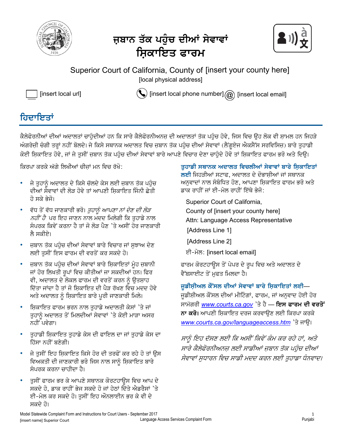

## ਜੁਬਾਨ ਤੱਕ ਪਹੰਚ ਦੀਆਂ ਸੇਵਾਵਾ<u>ਂ</u> ਸ਼ਿਕਾਇਤ ਫਾਰ**ਮ**



Superior Court of California, County of [insert your county here] [local physical address] [local physical address]



[insert local url]  $\qquad \qquad \Bigr(\bigvee \limits^{*}$  [insert local phone number]  $\textcircled{\scriptsize{a}}$  [insert local email]

### **ਹਿਦਾਇਤਾਂ**

ਕੈਲੇਫੋਰਨੀਆਂ ਦੀਆਂ ਅਦਾਲਤਾਂ ਚਾਹੰਦੀਆਂ ਹਨ ਕਿ ਸਾਰੇ ਕੈਲੇਫੋਰਨੀਅਨਜ ਦੀ ਅਦਾਲਤਾਂ ਤੱਕ ਪਹੰਚ ਹੋਵੇ, ਜਿਸ ਵਿਚ ੳਹ ਲੋਕ ਵੀ ਸ਼ਾਮਲ ਹਨ ਜਿਹੜੇ ਅੰਗਰੇਜ਼ੀ ਚੰਗੀ ਤਰਾਂ ਨਹੀਂ ਬੋਲਦੇ। ਜੇ ਕਿਸੇ ਸਥਾਨਕ ਅਦਾਲਤ ਵਿਚ ਜ਼ਬਾਨ ਤੱਕ ਪਹੰਚ ਦੀਆਂ ਸੇਵਾਵਾਂ (ਲੈਂਗਏਜ ਐਕਸੈੱਸ ਸਰਵਿਸਿਜ਼) ਬਾਰੇ ਤਹਾਡੀ ਕੋਈ ਸ਼ਿਕਾਇਤ ਹੋਵੇ, ਜਾਂ ਜੇ ਤਸੀਂ ਜ਼ਬਾਨ ਤੱਕ ਪਹੰਚ ਦੀਆਂ ਸੇਵਾਵਾਂ ਬਾਰੇ ਆਪਣੇ ਵਿਚਾਰ ਦੇਣਾ ਚਾਹੰਦੇ ਹੋਵੋ ਤਾਂ ਸ਼ਿਕਾਇਤ ਫਾਰਮ ਭਰੋ ਅਤੇ ਦਿੳ।

ਕਿਰਪਾ ਕਰਕੇ ਅੱਗੇ ਲਿਖੀਆਂ ਚੀਜਾਂ ਮਨ ਵਿਚ ਰੱਖੋ:

- ਜੇ ਤੁਹਾਨੂੰ ਅਦਾਲਤ ਦੇ ਕਿਸੇ ਚੱਲਦੇ ਕੇਸ ਲਈ ਜ਼ਬਾਨ ਤੱਕ ਪਹੁੰਚ ਦੀਆਂ ਸੇਵਾਵਾਂ ਦੀ ਲੋੜ ਹੋਵੇ ਤਾਂ ਆਪਣੀ ਸਿਕਾਇਤ ਜਿੰਨੀ ਛੇਤੀ ਹੋ ਸਕੇ ਭੇਜੋ।
- ਵੱਧ ਤੋਂ ਵੱਧ ਜਾਣਕਾਰੀ ਭਰੋ। *ਤੁਹਾਨੂੰ ਆਪਣਾ ਨਾਂ ਦੇਣ ਦੀ ਲੋੜ ਨਹੀਂ ਹੈ* ਪਰ ਇਹ ਜਾਣਨ ਨਾਲ ਮਦਦ ਮਿਲੇਗੀ ਕਿ ਤਹਾਡੇ ਨਾਲ ਸੰਪਰਕ ਕਿਵੇਂ ਕਰਨਾ ਹੈ ਤਾਂ ਜੋ ਲੋਤ ਪੈਣ 'ਤੇ ਅਸੀਂ ਹੋਰ ਜਾਣਕਾਰੀ ਲੈ ਸਕੀਏ।
- ਜੁਬਾਨ ਤੱਕ ਪਹੰਚ ਦੀਆਂ ਸੇਵਾਵਾਂ ਬਾਰੇ ਵਿਚਾਰ ਜਾਂ ਸਝਾਅ ਦੇਣ ਲਈ ਤਸੀਂ ਇਸ ਫਾਰਮ ਦੀ ਵਰਤੋਂ ਕਰ ਸਕਦੇ ਹੋ।
- ਜ਼ਬਾਨ ਤੱਕ ਪਹੁੰਚ ਦੀਆਂ ਸੇਵਾਵਾਂ ਬਾਰੇ ਸ਼ਿਕਾਇਤਾਂ ਮੂੰਹ ਜ਼ਬਾਨੀ ਜਾਂ ਹੋਰ ਲਿਖਤੀ ਰੂਪਾਂ ਵਿਚ ਕੀਤੀਆਂ ਜਾ ਸਕਦੀਆਂ ਹਨ। ਫਿਰ ਵੀ, ਅਦਾਲਤ ਦੇ ਲੋਕਲ ਫਾਰਮ ਦੀ ਵਰਤੋਂ ਕਰਨ ਨੂੰ ਉਤਸ਼ਾਹ ਦਿੱਤਾ ਜਾਂਦਾ ਹੈ ਤਾਂ ਜੋ ਸਿਕਾਇਤ ਦੀ ਪੈੜ ਰੱਖਣ ਵਿਚ ਮਦਦ ਹੋਵੇ ਅਤੇ ਅਦਾਲਤ ਨੂੰ ਸ਼ਿਕਾਇਤ ਬਾਰੇ ਪੂਰੀ ਜਾਣਕਾਰੀ ਮਿਲੇ।
- ਸ਼ਿਕਾਇਤ ਫਾਰਮ ਭਰਨ ਨਾਲ ਤਹਾਡੇ ਅਦਾਲਤੀ ਕੇਸਾਂ 'ਤੇ ਜਾਂ ਤੁਹਾਨੂੰ ਅਦਾਲਤ ਤੋਂ ਮਿਲਦੀਆਂ ਸੇਵਾਵਾਂ 'ਤੇ ਕੋਈ ਮਾੜਾ ਅਸਰ ਨਹੀਂ ਪਵੇਗਾ।
- <sub>-</sub> ਤੁਹਾਡੀ ਸ਼ਿਕਾਇਤ ਤੁਹਾਡੇ ਕੇਸ ਦੀ ਫਾਇਲ ਦਾ ਜਾਂ ਤੁਹਾਡੇ ਕੇਸ ਦਾ ਹਿੱਸਾ ਨਹੀਂ ਬਣੇਗੀ।
- ਜੇ ਤਸੀਂ ਇਹ ਸ਼ਿਕਾਇਤ ਕਿਸੇ ਹੋਰ ਦੀ ਤਰਫੋਂ ਕਰ ਰਹੇ ਹੋ ਤਾਂ ੳਸ ਵਿਅਕਤੀ ਦੀ ਜਾਣਕਾਰੀ ਭਰੋ ਜਿਸ ਨਾਲ ਸਾਨੂੰ ਸ਼ਿਕਾਇਤ ਬਾਰੇ ਸੰਪਰਕ ਕਰਨਾ ਚਾਹੀਦਾ ਹੈ।
- ਤੁਸੀਂ ਫਾਰਮ ਭਰ ਕੇ ਆਪਣੇ ਸਥਾਨਕ ਕੋਰਟਹਾਉਸ ਵਿਚ ਆਪ ਦੇ ਸਕਦੇ ਹੋ, ਡਾਕ ਰਾਹੀਂ ਭੇਜ ਸਕਦੇ ਹੋ ਜਾਂ ਹੇਠਾਂ ਦਿੱਤੇ ਐਡਰੈਸਾਂ 'ਤੇ ਈ-ਮੇਲ ਕਰ ਸਕਦੇ ਹੋ। ਤਸੀਂ ਇਹ ਔਨਲਾਈਨ ਭਰ ਕੇ ਵੀ ਦੇ ਸਕਦੇ ਹੋ।

ਤੁਹਾਡੀ ਸਥਾਨਕ ਅਦਾਲਤ ਵਿਚਲੀਆਂ ਸੇਵਾਵਾਂ ਬਾਰੇ ਸ਼ਿਕਾਇਤਾਂ **ਲਈ** ਜਿਹੜੀਆਂ ਸਟਾਫ, ਅਦਾਲਤ ਦੇ ਦੋਭਾਸ਼ੀਆਂ ਜਾਂ ਸਥਾਨਕ ਅਨਵਾਦਾਂ ਨਾਲ ਸੰਬੰਧਿਤ ਹੋਣ, ਆਪਣਾ ਸ਼ਿਕਾਇਤ ਫਾਰਮ ਭਰੋ ਅਤੇ ਡਾਕ ਰਾਹੀਂ ਜਾਂ ਈ-ਮੇਲ ਰਾਹੀਂ ਇੱਥੇ ਭੇਜੋ:

Superior Court of California, County of [insert your county here] [insert your county here] Attn: Language Access Representative [Address Line 1] [Address Line 2]

eI-myl: *[insert local email]* [insert local email]

ਫਾਰਮ ਕੋਰਟਹਾਉਸ ਤੋਂ ਪੇਪਰ ਦੇ ਰੂਪ ਵਿਚ ਅਤੇ ਅਦਾਲਤ ਦੇ ਵੈੱਬਸਾਈਟ ਤੋਂ ਮਫਤ ਮਿਲਦਾ ਹੈ।

ਜੁਡੀਸ਼ੀਅਲ ਕੌਂਸਲ ਦੀਆਂ ਸੇਵਾਵਾਂ ਬਾਰੇ ਸ਼ਿਕਾਇਤਾਂ ਲਈ—

ਜੁਡੀਸ਼ੀਅਲ ਕੌਂਸਲ ਦੀਆਂ ਮੀਟਿੰਗਾਂ, ਫਾਰਮ, ਜਾਂ ਅਨੁਵਾਦ ਹੋਈ ਹੋਰ ਸਾਮੱਗਰੀ *www.courts.ca.gov* 'ਤੇ ਹੈ — **ਇਸ ਫਾਰਮ ਦੀ ਵਰਤੋਂ ਨਾ ਕਰੋ।** ਆਪਣੀ ਸ਼ਿਕਾਇਤ ਦਰਜ ਕਰਵਾੳਣ ਲਈ ਕਿਰਪਾ ਕਰਕੇ www.courts.ca.gov/languageaccess.htm<sup>3</sup> अम्हि।

ਸਾਨੰ ਇਹ ਦੱਸਣ ਲਈ ਕਿ ਅਸੀਂ ਕਿਵੇਂ ਕੰਮ ਕਰ ਰਹੇ ਹਾਂ. ਅਤੇ ਸਾਰੇ ਕੈਲੇਫੋਰਨੀਅਨਜ਼ ਲਈ ਸਾਡੀਆਂ ਜ਼ਬਾਨ ਤੱਕ ਪਹੰਚ ਦੀਆਂ ਸੇਵਾਵਾਂ ਸੁਧਾਰਨ ਵਿਚ ਸਾਡੀ ਮਦਦ ਕਰਨ ਲਈ ਤੁਹਾਡਾ ਧੰਨਵਾਦ।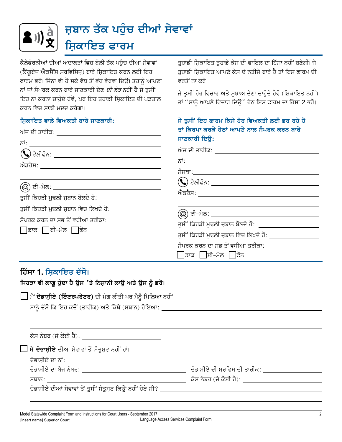

ਕੈਲੇਫੋਰਨੀਆਂ ਦੀਆਂ ਅਦਾਲਤਾਂ ਵਿਚ ਬੋਲੀ ਤੱਕ ਪਹੰਚ ਦੀਆਂ ਸੇਵਾਵਾਂ (ਲੈਂਗੁਏਜ ਐਕਸੈੱਸ ਸਰਵਿਸਿਜ਼) ਬਾਰੇ ਸ਼ਿਕਾਇਤ ਕਰਨ ਲਈ ਇਹ ਫਾਰਮ ਭਰੋ। ਜਿੰਨਾ ਵੀ ਹੋ ਸਕੇ ਵੱਧ ਤੋਂ ਵੱਧ ਵੇਰਵਾ ਦਿਉ। ਤੁਹਾਨੂੰ ਆਪਣਾ ਨਾਂ ਜਾਂ ਸੰਪਰਕ ਕਰਨ ਬਾਰੇ ਜਾਣਕਾਰੀ ਦੇਣ *ਦੀ ਲੋੜ* ਨਹੀਂ ਹੈ ਜੇ ਤਸੀਂ ਇਹ ਨਾ ਕਰਨਾ ਚਾਹੁੰਦੇ ਹੋਵੋ. ਪਰ ਇਹ ਤਹਾਡੀ ਸਿਕਾਇਤ ਦੀ ਪੜਤਾਲ ਕਰਨ ਵਿਚ ਸਾਡੀ ਮਦਦ ਕਰੇਗਾ।

ਤਹਾਡੀ ਸ਼ਿਕਾਇਤ ਤਹਾਡੇ ਕੇਸ ਦੀ ਫਾਇਲ ਦਾ ਹਿੱਸਾ ਨਹੀਂ ਬਣੇਗੀ। ਜੇ ਤਹਾਡੀ ਸਿਕਾਇਤ ਆਪਣੇ ਕੇਸ ਦੇ ਨਤੀਜੇ ਬਾਰੇ ਹੈ ਤਾਂ ਇਸ ਫਾਰਮ ਦੀ ਵਰਤੋਂ ਨਾ ਕਰੋ।

ਜੇ ਤਸੀਂ ਹੋਰ ਵਿਚਾਰ ਅਤੇ ਸਝਾਅ ਦੇਣਾ ਚਾਹੰਦੇ ਹੋਵੋ (ਸ਼ਿਕਾਇਤ ਨਹੀਂ) ਤਾਂ "ਸਾਨੂੰ ਆਪਣੇ ਵਿਚਾਰ ਦਿਉ" ਹੇਠ ਇਸ ਫਾਰਮ ਦਾ ਹਿੱਸਾ 2 ਭਰੋ।

| ਸ਼ਿਕਾਇਤ ਵਾਲੇ ਵਿਅਕਤੀ ਬਾਰੇ ਜਾਣਕਾਰੀ:<br>ਅੱਜ ਦੀ ਤਾਰੀਕ: ____ <b>_________________________</b> ____                     | ਜੇ ਤੁਸੀਂ ਇਹ ਫਾਰਮ ਕਿਸੇ ਹੋਰ ਵਿਅਕਤੀ ਲਈ ਭਰ ਰਹੇ ਹੋ<br>ਤਾਂ ਕਿਰਪਾ ਕਰਕੇ ਹੇਠਾਂ ਆਪਣੇ ਨਾਲ ਸੰਪਰਕ ਕਰਨ ਬਾਰੇ<br>ਜਾਣਕਾਰੀ ਦਿੳ: |
|-------------------------------------------------------------------------------------------------------------------|---------------------------------------------------------------------------------------------------------------|
|                                                                                                                   | ਅੱਜ ਦੀ ਤਾਰੀਕ: ___ <b>____________________</b> ___                                                             |
| <u>(@</u> ) ਈ-ਮੇਲ: ___________________________________<br>ਤਸੀਂ ਕਿਹੜੀ ਮੁਢਲੀ ਜ਼ਬਾਨ ਬੋਲਦੇ ਹੋ: ______________________ |                                                                                                               |
| ਤੁਸੀਂ ਕਿਹੜੀ ਮੁਢਲੀ ਜ਼ਬਾਨ ਵਿਚ ਲਿਖਦੇ ਹੋ:<br>ਸੰਪਰਕ ਕਰਨ ਦਾ ਸਭ ਤੋਂ ਵਧੀਆ ਤਰੀਕਾ:<br>∏ਡਾਕ ∏ਈ-ਮੇਲ □ਫੋਨ                      | (@) ਈ-ਮੇਲ: ______________________<br>ਤਸੀਂ ਕਿਹੜੀ ਮੁਢਲੀ ਜ਼ਬਾਨ ਬੋਲਦੇ ਹੋ: ____________                            |
|                                                                                                                   | ਤਸੀਂ ਕਿਹੜੀ ਮਢਲੀ ਜ਼ਬਾਨ ਵਿਚ ਲਿਖਦੇ ਹੋ:<br>ਸੰਪਰਕ ਕਰਨ ਦਾ ਸਭ ਤੋਂ ਵਧੀਆ ਤਰੀਕਾ:<br>∏ਡਾਕ ∏ਈ-ਮੇਲ ∏ਫੋਨ                    |

### ਹਿੱਸਾ 1. ਸਿਕਾਇਤ ਦੱਸੋ।

ਜਿਹੜਾ ਵੀ ਲਾਗੁ ਹੁੰਦਾ ਹੈ ਉਸ 'ਤੇ ਨਿਸ਼ਾਨੀ ਲਾਉ ਅਤੇ ਉਸ ਨੂੰ ਭਰੋ।

□ ਮੈਂ ਦੋਭਾਸ਼ੀਏ (ਇੰਟਰਪਰੇਟਰ) ਦੀ ਮੰਗ ਕੀਤੀ ਪਰ ਮੈਨੂੰ ਮਿਲਿਆ ਨਹੀਂ।

ਸਾਨੂੰ ਦੱਸੋ ਕਿ ਇਹ ਕਦੋਂ (ਤਾਰੀਕ) ਅਤੇ ਕਿੱਥੇ (ਸਥਾਨ) ਹੋਇਆ: \_

| ਕੇਸ ਨੰਬਰ (ਜੇ ਕੋਈ ਹੈ): _______________________             |                             |
|-----------------------------------------------------------|-----------------------------|
| │ ਮੈਂ <b>ਦੋਭਾਸ਼ੀਏ</b> ਦੀਆਂ ਸੇਵਾਵਾਂ ਤੋਂ ਸੰਤੁਸ਼ਟ ਨਹੀਂ ਹਾਂ।  |                             |
| ਦੋਭਾਸ਼ੀਏ ਦਾ ਨਾਂ: ਹਰ ਸ਼ਾਹ ਦਾ ਸ਼ਾਹ ਦਾ ਸ਼ਾਹ ਦਾ ਸ਼ਾਹ          |                             |
| ਦੋਭਾਸ਼ੀਏ ਦਾ ਬੈਜ ਨੰਬਰ:                                     | ਦੋਭਾਸ਼ੀਏ ਦੀ ਸਰਵਿਸ ਦੀ ਤਾਰੀਕ: |
| ਸਥਾਨ: _____ <b>_______________</b> _                      | ਕੇਸ ਨੰਬਰ (ਜੇ ਕੋਈ ਹੈ):       |
| ਦੋਭਾਸ਼ੀਏ ਦੀਆਂ ਸੇਵਾਵਾਂ ਤੋਂ ਤੁਸੀਂ ਸੰਤੁਸ਼ਟ ਕਿਉਂ ਨਹੀਂ ਹੋਏ ਸੀ? |                             |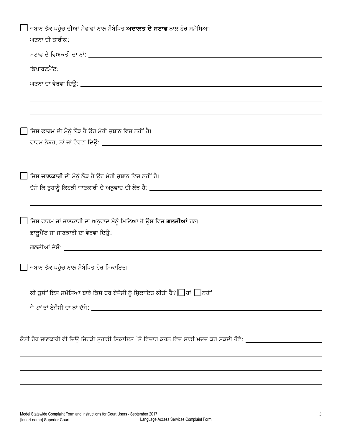| █ ਜ਼ਬਾਨ ਤੱਕ ਪਹੁੰਚ ਦੀਆਂ ਸੇਵਾਵਾਂ ਨਾਲ ਸੰਬੰਧਿਤ ਅਦਾਲਤ ਦੇ ਸਟਾਫ ਨਾਲ ਹੋਰ ਸਮੱਸਿਆ।                                      |
|---------------------------------------------------------------------------------------------------------------|
|                                                                                                               |
|                                                                                                               |
|                                                                                                               |
|                                                                                                               |
|                                                                                                               |
| ြ ਜਿਸ <b>ਫਾਰਮ</b> ਦੀ ਮੈਨੂੰ ਲੋੜ ਹੈ ਉਹ ਮੇਰੀ ਜ਼ਬਾਨ ਵਿਚ ਨਹੀਂ ਹੈ।                                                  |
|                                                                                                               |
| ██ ਜਿਸ <b>ਜਾਣਕਾਰੀ</b> ਦੀ ਮੈਨੂੰ ਲੋੜ ਹੈ ਉਹ ਮੇਰੀ ਜ਼ਬਾਨ ਵਿਚ ਨਹੀਂ ਹੈ।                                              |
|                                                                                                               |
| ∐ ਜਿਸ ਫਾਰਮ ਜਾਂ ਜਾਣਕਾਰੀ ਦਾ ਅਨੁਵਾਦ ਮੈਨੂੰ ਮਿਲਿਆ ਹੈ ਉਸ ਵਿਚ <b>ਗਲਤੀਆਂ</b> ਹਨ।                                      |
|                                                                                                               |
| ि ਜ਼ਬਾਨ ਤੱਕ ਪਹੁੰਚ ਨਾਲ ਸੰਬੰਧਿਤ ਹੋਰ ਸ਼ਿਕਾਇਤ।                                                                    |
| ਕੀ ਤੁਸੀਂ ਇਸ ਸਮੱਸਿਆ ਬਾਰੇ ਕਿਸੇ ਹੋਰ ਏਜੰਸੀ ਨੂੰ ਸ਼ਿਕਾਇਤ ਕੀਤੀ ਹੈ? █ੇ ਹਾਂ █ੇ ਨਹੀਂ                                    |
|                                                                                                               |
| ਕੋਈ ਹੋਰ ਜਾਣਕਾਰੀ ਵੀ ਦਿਉ ਜਿਹੜੀ ਤੁਹਾਡੀ ਸ਼ਿਕਾਇਤ 'ਤੇ ਵਿਚਾਰ ਕਰਨ ਵਿਚ ਸਾਡੀ ਮਦਦ ਕਰ ਸਕਦੀ ਹੋਵੇ: ________________________ |
|                                                                                                               |
|                                                                                                               |
|                                                                                                               |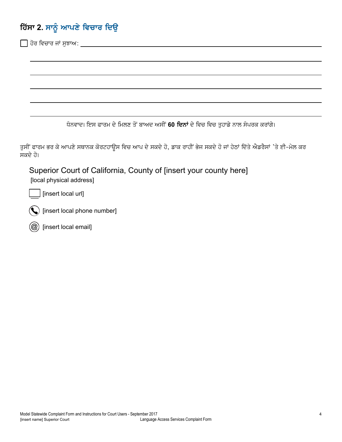# <mark>ਹਿਂਸਾ 2.</mark> ਸਾਨੂੰ ਆਪਣੇ ਵਿਚਾਰ ਦਿਉ

| ਹੋਰ ਵਿਚਾਰ ਜਾਂ ਸੁਝਾਅ: _________                                                                                                 |
|--------------------------------------------------------------------------------------------------------------------------------|
|                                                                                                                                |
|                                                                                                                                |
|                                                                                                                                |
|                                                                                                                                |
|                                                                                                                                |
| ਧੰਨਵਾਦ। ਇਸ ਫਾਰਮ ਦੇ ਮਿਲਣ ਤੋਂ ਬਾਅਦ ਅਸੀਂ 60 ਦਿਨਾਂ ਦੇ ਵਿਚ ਵਿਚ ਤੁਹਾਡੇ ਨਾਲ ਸੰਪਰਕ ਕਰਾਂਗੇ।                                             |
| ਤੁਸੀਂ ਫਾਰਮ ਭਰ ਕੇ ਆਪਣੇ ਸਥਾਨਕ ਕੋਰਟਹਾਉਸ ਵਿਚ ਆਪ ਦੇ ਸਕਦੇ ਹੋ, ਡਾਕ ਰਾਹੀਂ ਭੇਜ ਸਕਦੇ ਹੋ ਜਾਂ ਹੇਠਾਂ ਦਿੱਤੇ ਐਡਰੈਸਾਂ 'ਤੇ ਈ-ਮੇਲ ਕਰ<br>ਸਕਦੇ ਹੋ। |
| Superior Court of California, County of [insert your county here]<br>[local physical address]                                  |
| [insert local url]                                                                                                             |
| [insert local phone number]                                                                                                    |
| [insert local email]                                                                                                           |
|                                                                                                                                |
|                                                                                                                                |